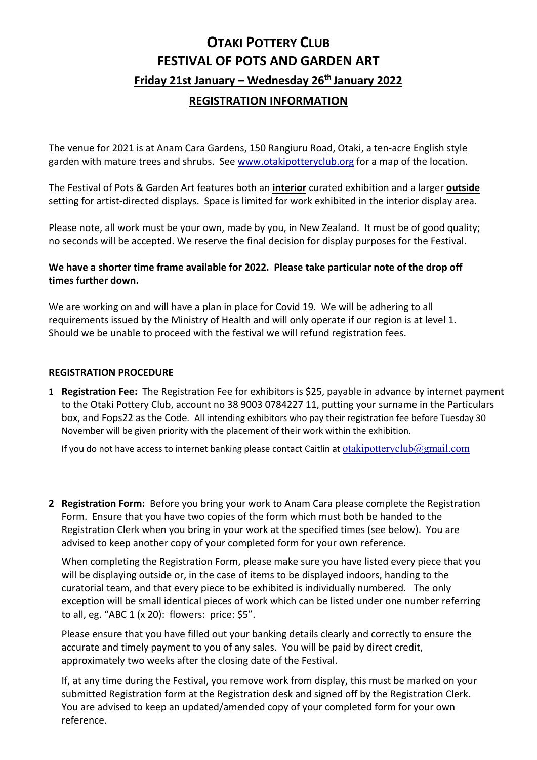# **OTAKI POTTERY CLUB FESTIVAL OF POTS AND GARDEN ART Friday 21st January – Wednesday 26th January 2022**

# **REGISTRATION INFORMATION**

The venue for 2021 is at Anam Cara Gardens, 150 Rangiuru Road, Otaki, a ten-acre English style garden with mature trees and shrubs. See [www.otakipotteryclub.org](http://www.otakipotteryclub.org/) for a map of the location.

The Festival of Pots & Garden Art features both an **interior** curated exhibition and a larger **outside** setting for artist-directed displays. Space is limited for work exhibited in the interior display area.

Please note, all work must be your own, made by you, in New Zealand. It must be of good quality; no seconds will be accepted. We reserve the final decision for display purposes for the Festival.

# **We have a shorter time frame available for 2022. Please take particular note of the drop off times further down.**

We are working on and will have a plan in place for Covid 19. We will be adhering to all requirements issued by the Ministry of Health and will only operate if our region is at level 1. Should we be unable to proceed with the festival we will refund registration fees.

## **REGISTRATION PROCEDURE**

**1 Registration Fee:** The Registration Fee for exhibitors is \$25, payable in advance by internet payment to the Otaki Pottery Club, account no 38 9003 0784227 11, putting your surname in the Particulars box, and Fops22 as the Code**.** All intending exhibitors who pay their registration fee before Tuesday 30 November will be given priority with the placement of their work within the exhibition.

If you do not have access to internet banking please contact Caitlin at [otakipotteryclub@gmail.com](mailto:otakipotteryclub@gmail.com)

**2 Registration Form:** Before you bring your work to Anam Cara please complete the Registration Form. Ensure that you have two copies of the form which must both be handed to the Registration Clerk when you bring in your work at the specified times (see below). You are advised to keep another copy of your completed form for your own reference.

When completing the Registration Form, please make sure you have listed every piece that you will be displaying outside or, in the case of items to be displayed indoors, handing to the curatorial team, and that every piece to be exhibited is individually numbered. The only exception will be small identical pieces of work which can be listed under one number referring to all, eg. "ABC 1 (x 20): flowers: price: \$5".

Please ensure that you have filled out your banking details clearly and correctly to ensure the accurate and timely payment to you of any sales. You will be paid by direct credit, approximately two weeks after the closing date of the Festival.

If, at any time during the Festival, you remove work from display, this must be marked on your submitted Registration form at the Registration desk and signed off by the Registration Clerk. You are advised to keep an updated/amended copy of your completed form for your own reference.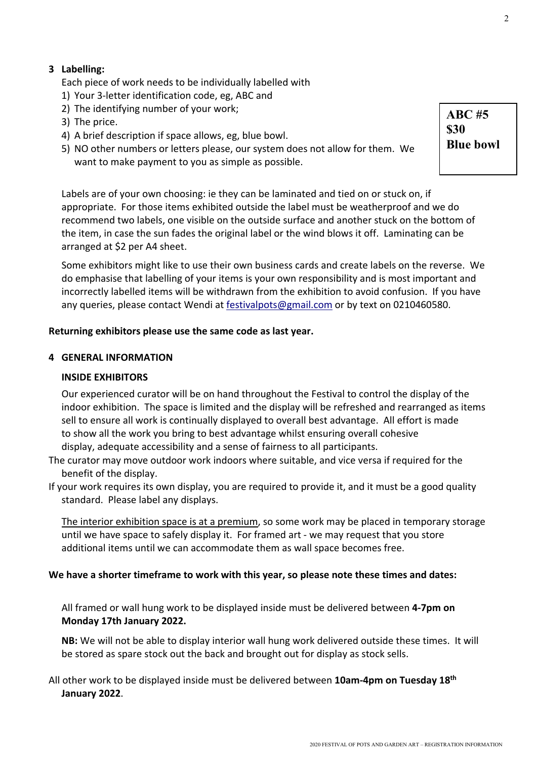# **3 Labelling:**

Each piece of work needs to be individually labelled with

- 1) Your 3-letter identification code, eg, ABC and
- 2) The identifying number of your work;
- 3) The price.
- 4) A brief description if space allows, eg, blue bowl.
- 5) NO other numbers or letters please, our system does not allow for them. We want to make payment to you as simple as possible.

 Labels are of your own choosing: ie they can be laminated and tied on or stuck on, if appropriate. For those items exhibited outside the label must be weatherproof and we do recommend two labels, one visible on the outside surface and another stuck on the bottom of the item, in case the sun fades the original label or the wind blows it off. Laminating can be arranged at \$2 per A4 sheet.

Some exhibitors might like to use their own business cards and create labels on the reverse. We do emphasise that labelling of your items is your own responsibility and is most important and incorrectly labelled items will be withdrawn from the exhibition to avoid confusion. If you have any queries, please contact Wendi at [festivalpots@gmail.com](mailto:festivalpots@gmail.com) or by text on 0210460580.

#### **Returning exhibitors please use the same code as last year.**

#### **4 GENERAL INFORMATION**

#### **INSIDE EXHIBITORS**

Our experienced curator will be on hand throughout the Festival to control the display of the indoor exhibition. The space is limited and the display will be refreshed and rearranged as items sell to ensure all work is continually displayed to overall best advantage. All effort is made to show all the work you bring to best advantage whilst ensuring overall cohesive display, adequate accessibility and a sense of fairness to all participants.

- The curator may move outdoor work indoors where suitable, and vice versa if required for the benefit of the display.
- If your work requires its own display, you are required to provide it, and it must be a good quality standard. Please label any displays.

The interior exhibition space is at a premium, so some work may be placed in temporary storage until we have space to safely display it. For framed art - we may request that you store additional items until we can accommodate them as wall space becomes free.

#### **We have a shorter timeframe to work with this year, so please note these times and dates:**

All framed or wall hung work to be displayed inside must be delivered between **4-7pm on Monday 17th January 2022.** 

**NB:** We will not be able to display interior wall hung work delivered outside these times. It will be stored as spare stock out the back and brought out for display as stock sells.

All other work to be displayed inside must be delivered between **10am-4pm on Tuesday 18th January 2022**.

**ABC #5 \$30 Blue bowl**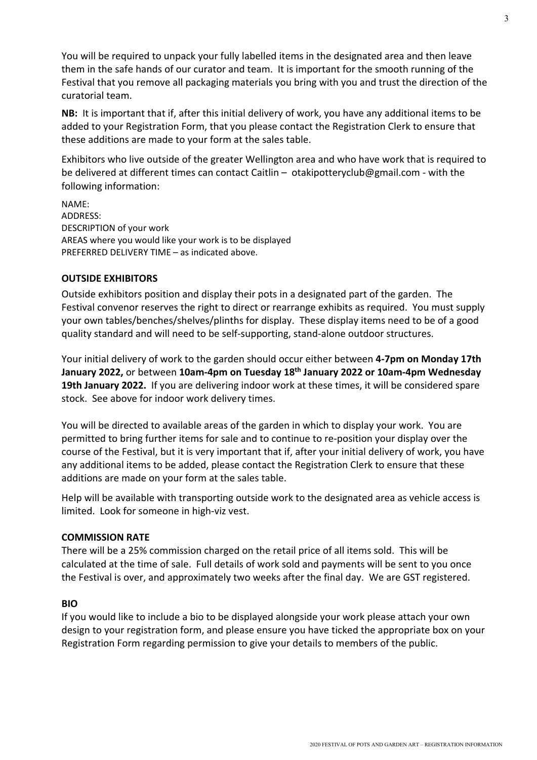You will be required to unpack your fully labelled items in the designated area and then leave them in the safe hands of our curator and team. It is important for the smooth running of the Festival that you remove all packaging materials you bring with you and trust the direction of the curatorial team.

 **NB:** It is important that if, after this initial delivery of work, you have any additional items to be added to your Registration Form, that you please contact the Registration Clerk to ensure that these additions are made to your form at the sales table.

Exhibitors who live outside of the greater Wellington area and who have work that is required to be delivered at different times can contact Caitlin – otakipotteryclub@gmail.com - with the following information:

NAME: ADDRESS: DESCRIPTION of your work AREAS where you would like your work is to be displayed PREFERRED DELIVERY TIME – as indicated above.

# **OUTSIDE EXHIBITORS**

Outside exhibitors position and display their pots in a designated part of the garden. The Festival convenor reserves the right to direct or rearrange exhibits as required. You must supply your own tables/benches/shelves/plinths for display. These display items need to be of a good quality standard and will need to be self-supporting, stand-alone outdoor structures.

Your initial delivery of work to the garden should occur either between **4-7pm on Monday 17th January 2022,** or between **10am-4pm on Tuesday 18th January 2022 or 10am-4pm Wednesday 19th January 2022.** If you are delivering indoor work at these times, it will be considered spare stock. See above for indoor work delivery times.

You will be directed to available areas of the garden in which to display your work. You are permitted to bring further items for sale and to continue to re-position your display over the course of the Festival, but it is very important that if, after your initial delivery of work, you have any additional items to be added, please contact the Registration Clerk to ensure that these additions are made on your form at the sales table.

Help will be available with transporting outside work to the designated area as vehicle access is limited. Look for someone in high-viz vest.

#### **COMMISSION RATE**

There will be a 25% commission charged on the retail price of all items sold. This will be calculated at the time of sale. Full details of work sold and payments will be sent to you once the Festival is over, and approximately two weeks after the final day. We are GST registered.

#### **BIO**

If you would like to include a bio to be displayed alongside your work please attach your own design to your registration form, and please ensure you have ticked the appropriate box on your Registration Form regarding permission to give your details to members of the public.